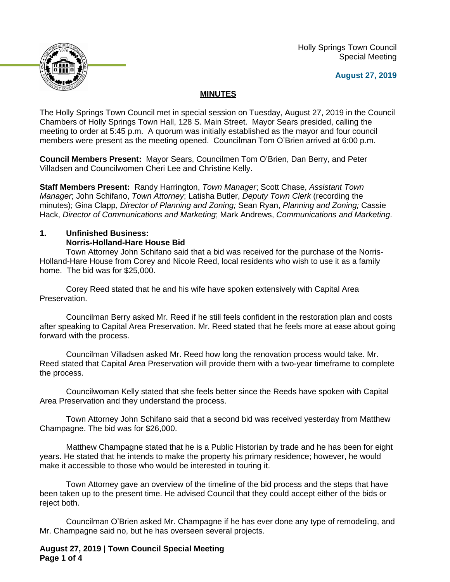

 Holly Springs Town Council Special Meeting

## **August 27, 2019**

## **MINUTES**

The Holly Springs Town Council met in special session on Tuesday, August 27, 2019 in the Council Chambers of Holly Springs Town Hall, 128 S. Main Street. Mayor Sears presided, calling the meeting to order at 5:45 p.m. A quorum was initially established as the mayor and four council members were present as the meeting opened. Councilman Tom O'Brien arrived at 6:00 p.m.

**Council Members Present:** Mayor Sears, Councilmen Tom O'Brien, Dan Berry, and Peter Villadsen and Councilwomen Cheri Lee and Christine Kelly.

**Staff Members Present:** Randy Harrington, *Town Manager*; Scott Chase, *Assistant Town Manager*; John Schifano, *Town Attorney*; Latisha Butler, *Deputy Town Clerk* (recording the minutes); Gina Clapp*, Director of Planning and Zoning;* Sean Ryan, *Planning and Zoning;* Cassie Hack, *Director of Communications and Marketing*; Mark Andrews, *Communications and Marketing*.

# **1. Unfinished Business:**

## **Norris-Holland-Hare House Bid**

Town Attorney John Schifano said that a bid was received for the purchase of the Norris-Holland-Hare House from Corey and Nicole Reed, local residents who wish to use it as a family home. The bid was for \$25,000.

Corey Reed stated that he and his wife have spoken extensively with Capital Area Preservation.

Councilman Berry asked Mr. Reed if he still feels confident in the restoration plan and costs after speaking to Capital Area Preservation. Mr. Reed stated that he feels more at ease about going forward with the process.

Councilman Villadsen asked Mr. Reed how long the renovation process would take. Mr. Reed stated that Capital Area Preservation will provide them with a two-year timeframe to complete the process.

Councilwoman Kelly stated that she feels better since the Reeds have spoken with Capital Area Preservation and they understand the process.

Town Attorney John Schifano said that a second bid was received yesterday from Matthew Champagne. The bid was for \$26,000.

Matthew Champagne stated that he is a Public Historian by trade and he has been for eight years. He stated that he intends to make the property his primary residence; however, he would make it accessible to those who would be interested in touring it.

Town Attorney gave an overview of the timeline of the bid process and the steps that have been taken up to the present time. He advised Council that they could accept either of the bids or reject both.

Councilman O'Brien asked Mr. Champagne if he has ever done any type of remodeling, and Mr. Champagne said no, but he has overseen several projects.

**August 27, 2019 | Town Council Special Meeting Page 1 of 4**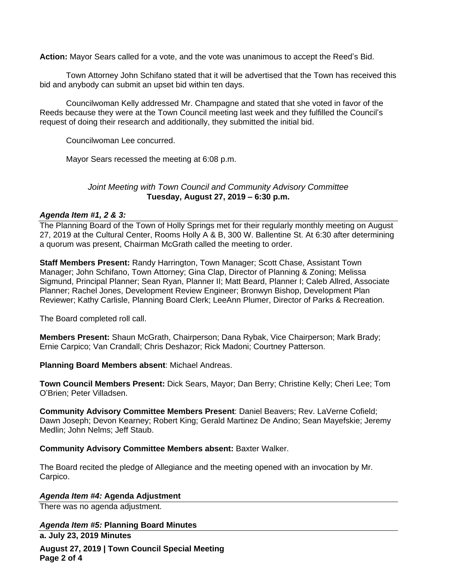**Action:** Mayor Sears called for a vote, and the vote was unanimous to accept the Reed's Bid.

Town Attorney John Schifano stated that it will be advertised that the Town has received this bid and anybody can submit an upset bid within ten days.

Councilwoman Kelly addressed Mr. Champagne and stated that she voted in favor of the Reeds because they were at the Town Council meeting last week and they fulfilled the Council's request of doing their research and additionally, they submitted the initial bid.

Councilwoman Lee concurred.

Mayor Sears recessed the meeting at 6:08 p.m.

## *Joint Meeting with Town Council and Community Advisory Committee* **Tuesday, August 27, 2019 – 6:30 p.m.**

## *Agenda Item #1, 2 & 3:*

The Planning Board of the Town of Holly Springs met for their regularly monthly meeting on August 27, 2019 at the Cultural Center, Rooms Holly A & B, 300 W. Ballentine St. At 6:30 after determining a quorum was present, Chairman McGrath called the meeting to order.

**Staff Members Present:** Randy Harrington, Town Manager; Scott Chase, Assistant Town Manager; John Schifano, Town Attorney; Gina Clap, Director of Planning & Zoning; Melissa Sigmund, Principal Planner; Sean Ryan, Planner II; Matt Beard, Planner I; Caleb Allred, Associate Planner; Rachel Jones, Development Review Engineer; Bronwyn Bishop, Development Plan Reviewer; Kathy Carlisle, Planning Board Clerk; LeeAnn Plumer, Director of Parks & Recreation.

The Board completed roll call.

**Members Present:** Shaun McGrath, Chairperson; Dana Rybak, Vice Chairperson; Mark Brady; Ernie Carpico; Van Crandall; Chris Deshazor; Rick Madoni; Courtney Patterson.

**Planning Board Members absent**: Michael Andreas.

**Town Council Members Present:** Dick Sears, Mayor; Dan Berry; Christine Kelly; Cheri Lee; Tom O'Brien; Peter Villadsen.

**Community Advisory Committee Members Present**: Daniel Beavers; Rev. LaVerne Cofield; Dawn Joseph; Devon Kearney; Robert King; Gerald Martinez De Andino; Sean Mayefskie; Jeremy Medlin; John Nelms; Jeff Staub.

#### **Community Advisory Committee Members absent:** Baxter Walker.

The Board recited the pledge of Allegiance and the meeting opened with an invocation by Mr. Carpico.

#### *Agenda Item #4:* **Agenda Adjustment**

There was no agenda adjustment.

*Agenda Item #5:* **Planning Board Minutes a. July 23, 2019 Minutes**

**August 27, 2019 | Town Council Special Meeting Page 2 of 4**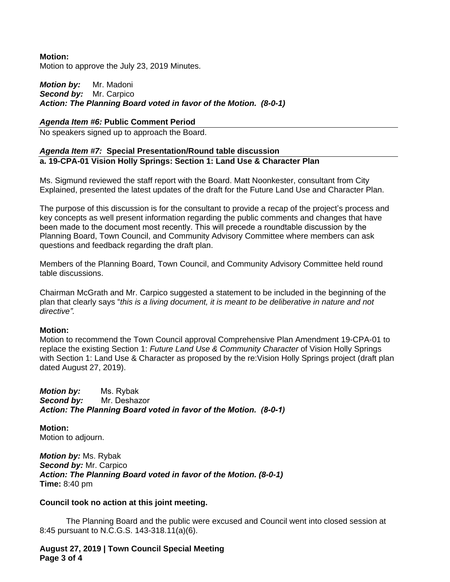## **Motion:**

Motion to approve the July 23, 2019 Minutes.

## *Motion by:* Mr. Madoni *Second by:* Mr. Carpico *Action: The Planning Board voted in favor of the Motion. (8-0-1)*

## *Agenda Item #6:* **Public Comment Period**

No speakers signed up to approach the Board.

## *Agenda Item #7:* **Special Presentation/Round table discussion a. 19-CPA-01 Vision Holly Springs: Section 1: Land Use & Character Plan**

Ms. Sigmund reviewed the staff report with the Board. Matt Noonkester, consultant from City Explained, presented the latest updates of the draft for the Future Land Use and Character Plan.

The purpose of this discussion is for the consultant to provide a recap of the project's process and key concepts as well present information regarding the public comments and changes that have been made to the document most recently. This will precede a roundtable discussion by the Planning Board, Town Council, and Community Advisory Committee where members can ask questions and feedback regarding the draft plan.

Members of the Planning Board, Town Council, and Community Advisory Committee held round table discussions.

Chairman McGrath and Mr. Carpico suggested a statement to be included in the beginning of the plan that clearly says "*this is a living document, it is meant to be deliberative in nature and not directive".*

#### **Motion:**

Motion to recommend the Town Council approval Comprehensive Plan Amendment 19-CPA-01 to replace the existing Section 1: *Future Land Use & Community Character* of Vision Holly Springs with Section 1: Land Use & Character as proposed by the re:Vision Holly Springs project (draft plan dated August 27, 2019).

*Motion by:* Ms. Rybak *Second by:* Mr. Deshazor *Action: The Planning Board voted in favor of the Motion. (8-0-1)*

**Motion:** Motion to adjourn.

*Motion by:* Ms. Rybak *Second by:* Mr. Carpico *Action: The Planning Board voted in favor of the Motion. (8-0-1)* **Time:** 8:40 pm

#### **Council took no action at this joint meeting.**

The Planning Board and the public were excused and Council went into closed session at 8:45 pursuant to N.C.G.S. 143-318.11(a)(6).

**August 27, 2019 | Town Council Special Meeting Page 3 of 4**